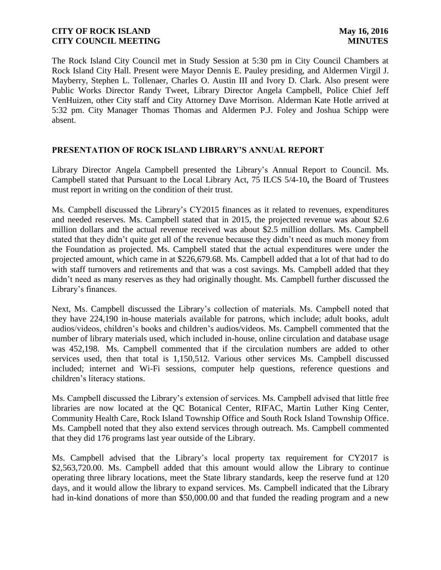The Rock Island City Council met in Study Session at 5:30 pm in City Council Chambers at Rock Island City Hall. Present were Mayor Dennis E. Pauley presiding, and Aldermen Virgil J. Mayberry, Stephen L. Tollenaer, Charles O. Austin III and Ivory D. Clark. Also present were Public Works Director Randy Tweet, Library Director Angela Campbell, Police Chief Jeff VenHuizen, other City staff and City Attorney Dave Morrison. Alderman Kate Hotle arrived at 5:32 pm. City Manager Thomas Thomas and Aldermen P.J. Foley and Joshua Schipp were absent.

# **PRESENTATION OF ROCK ISLAND LIBRARY'S ANNUAL REPORT**

Library Director Angela Campbell presented the Library's Annual Report to Council. Ms. Campbell stated that Pursuant to the Local Library Act, 75 ILCS 5/4-10**,** the Board of Trustees must report in writing on the condition of their trust.

Ms. Campbell discussed the Library's CY2015 finances as it related to revenues, expenditures and needed reserves. Ms. Campbell stated that in 2015, the projected revenue was about \$2.6 million dollars and the actual revenue received was about \$2.5 million dollars. Ms. Campbell stated that they didn't quite get all of the revenue because they didn't need as much money from the Foundation as projected. Ms. Campbell stated that the actual expenditures were under the projected amount, which came in at \$226,679.68. Ms. Campbell added that a lot of that had to do with staff turnovers and retirements and that was a cost savings. Ms. Campbell added that they didn't need as many reserves as they had originally thought. Ms. Campbell further discussed the Library's finances.

Next, Ms. Campbell discussed the Library's collection of materials. Ms. Campbell noted that they have 224,190 in-house materials available for patrons, which include; adult books, adult audios/videos, children's books and children's audios/videos. Ms. Campbell commented that the number of library materials used, which included in-house, online circulation and database usage was 452,198. Ms. Campbell commented that if the circulation numbers are added to other services used, then that total is 1,150,512. Various other services Ms. Campbell discussed included; internet and Wi-Fi sessions, computer help questions, reference questions and children's literacy stations.

Ms. Campbell discussed the Library's extension of services. Ms. Campbell advised that little free libraries are now located at the QC Botanical Center, RIFAC, Martin Luther King Center, Community Health Care, Rock Island Township Office and South Rock Island Township Office. Ms. Campbell noted that they also extend services through outreach. Ms. Campbell commented that they did 176 programs last year outside of the Library.

Ms. Campbell advised that the Library's local property tax requirement for CY2017 is \$2,563,720.00. Ms. Campbell added that this amount would allow the Library to continue operating three library locations, meet the State library standards, keep the reserve fund at 120 days, and it would allow the library to expand services. Ms. Campbell indicated that the Library had in-kind donations of more than \$50,000.00 and that funded the reading program and a new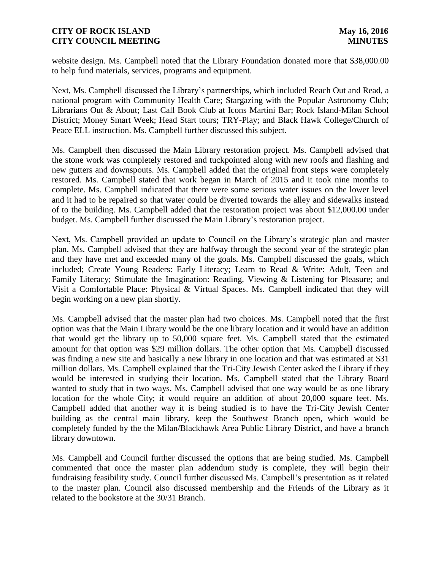website design. Ms. Campbell noted that the Library Foundation donated more that \$38,000.00 to help fund materials, services, programs and equipment.

Next, Ms. Campbell discussed the Library's partnerships, which included Reach Out and Read, a national program with Community Health Care; Stargazing with the Popular Astronomy Club; Librarians Out & About; Last Call Book Club at Icons Martini Bar; Rock Island-Milan School District; Money Smart Week; Head Start tours; TRY-Play; and Black Hawk College/Church of Peace ELL instruction. Ms. Campbell further discussed this subject.

Ms. Campbell then discussed the Main Library restoration project. Ms. Campbell advised that the stone work was completely restored and tuckpointed along with new roofs and flashing and new gutters and downspouts. Ms. Campbell added that the original front steps were completely restored. Ms. Campbell stated that work began in March of 2015 and it took nine months to complete. Ms. Campbell indicated that there were some serious water issues on the lower level and it had to be repaired so that water could be diverted towards the alley and sidewalks instead of to the building. Ms. Campbell added that the restoration project was about \$12,000.00 under budget. Ms. Campbell further discussed the Main Library's restoration project.

Next, Ms. Campbell provided an update to Council on the Library's strategic plan and master plan. Ms. Campbell advised that they are halfway through the second year of the strategic plan and they have met and exceeded many of the goals. Ms. Campbell discussed the goals, which included; Create Young Readers: Early Literacy; Learn to Read & Write: Adult, Teen and Family Literacy; Stimulate the Imagination: Reading, Viewing & Listening for Pleasure; and Visit a Comfortable Place: Physical & Virtual Spaces. Ms. Campbell indicated that they will begin working on a new plan shortly.

Ms. Campbell advised that the master plan had two choices. Ms. Campbell noted that the first option was that the Main Library would be the one library location and it would have an addition that would get the library up to 50,000 square feet. Ms. Campbell stated that the estimated amount for that option was \$29 million dollars. The other option that Ms. Campbell discussed was finding a new site and basically a new library in one location and that was estimated at \$31 million dollars. Ms. Campbell explained that the Tri-City Jewish Center asked the Library if they would be interested in studying their location. Ms. Campbell stated that the Library Board wanted to study that in two ways. Ms. Campbell advised that one way would be as one library location for the whole City; it would require an addition of about 20,000 square feet. Ms. Campbell added that another way it is being studied is to have the Tri-City Jewish Center building as the central main library, keep the Southwest Branch open, which would be completely funded by the the Milan/Blackhawk Area Public Library District, and have a branch library downtown.

Ms. Campbell and Council further discussed the options that are being studied. Ms. Campbell commented that once the master plan addendum study is complete, they will begin their fundraising feasibility study. Council further discussed Ms. Campbell's presentation as it related to the master plan. Council also discussed membership and the Friends of the Library as it related to the bookstore at the 30/31 Branch.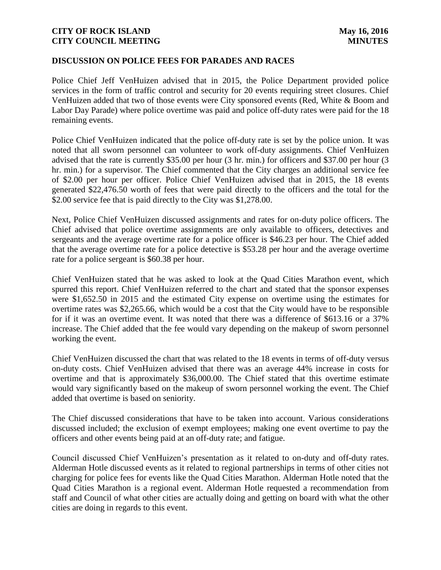#### **DISCUSSION ON POLICE FEES FOR PARADES AND RACES**

Police Chief Jeff VenHuizen advised that in 2015, the Police Department provided police services in the form of traffic control and security for 20 events requiring street closures. Chief VenHuizen added that two of those events were City sponsored events (Red, White & Boom and Labor Day Parade) where police overtime was paid and police off-duty rates were paid for the 18 remaining events.

Police Chief VenHuizen indicated that the police off-duty rate is set by the police union. It was noted that all sworn personnel can volunteer to work off-duty assignments. Chief VenHuizen advised that the rate is currently \$35.00 per hour (3 hr. min.) for officers and \$37.00 per hour (3 hr. min.) for a supervisor. The Chief commented that the City charges an additional service fee of \$2.00 per hour per officer. Police Chief VenHuizen advised that in 2015, the 18 events generated \$22,476.50 worth of fees that were paid directly to the officers and the total for the \$2.00 service fee that is paid directly to the City was \$1,278.00.

Next, Police Chief VenHuizen discussed assignments and rates for on-duty police officers. The Chief advised that police overtime assignments are only available to officers, detectives and sergeants and the average overtime rate for a police officer is \$46.23 per hour. The Chief added that the average overtime rate for a police detective is \$53.28 per hour and the average overtime rate for a police sergeant is \$60.38 per hour.

Chief VenHuizen stated that he was asked to look at the Quad Cities Marathon event, which spurred this report. Chief VenHuizen referred to the chart and stated that the sponsor expenses were \$1,652.50 in 2015 and the estimated City expense on overtime using the estimates for overtime rates was \$2,265.66, which would be a cost that the City would have to be responsible for if it was an overtime event. It was noted that there was a difference of \$613.16 or a 37% increase. The Chief added that the fee would vary depending on the makeup of sworn personnel working the event.

Chief VenHuizen discussed the chart that was related to the 18 events in terms of off-duty versus on-duty costs. Chief VenHuizen advised that there was an average 44% increase in costs for overtime and that is approximately \$36,000.00. The Chief stated that this overtime estimate would vary significantly based on the makeup of sworn personnel working the event. The Chief added that overtime is based on seniority.

The Chief discussed considerations that have to be taken into account. Various considerations discussed included; the exclusion of exempt employees; making one event overtime to pay the officers and other events being paid at an off-duty rate; and fatigue.

Council discussed Chief VenHuizen's presentation as it related to on-duty and off-duty rates. Alderman Hotle discussed events as it related to regional partnerships in terms of other cities not charging for police fees for events like the Quad Cities Marathon. Alderman Hotle noted that the Quad Cities Marathon is a regional event. Alderman Hotle requested a recommendation from staff and Council of what other cities are actually doing and getting on board with what the other cities are doing in regards to this event.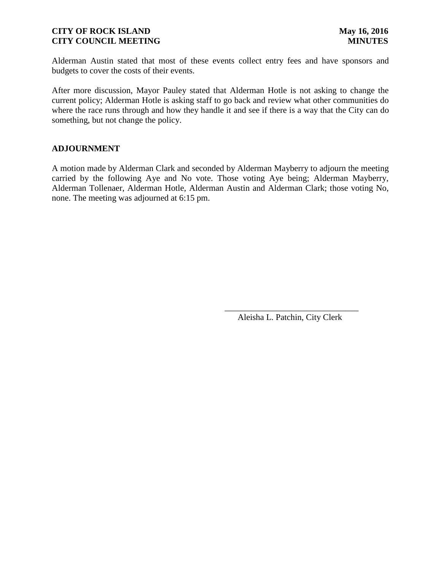Alderman Austin stated that most of these events collect entry fees and have sponsors and budgets to cover the costs of their events.

After more discussion, Mayor Pauley stated that Alderman Hotle is not asking to change the current policy; Alderman Hotle is asking staff to go back and review what other communities do where the race runs through and how they handle it and see if there is a way that the City can do something, but not change the policy.

#### **ADJOURNMENT**

A motion made by Alderman Clark and seconded by Alderman Mayberry to adjourn the meeting carried by the following Aye and No vote. Those voting Aye being; Alderman Mayberry, Alderman Tollenaer, Alderman Hotle, Alderman Austin and Alderman Clark; those voting No, none. The meeting was adjourned at 6:15 pm.

 $\overline{\phantom{a}}$  , and the contract of the contract of the contract of the contract of the contract of the contract of the contract of the contract of the contract of the contract of the contract of the contract of the contrac

Aleisha L. Patchin, City Clerk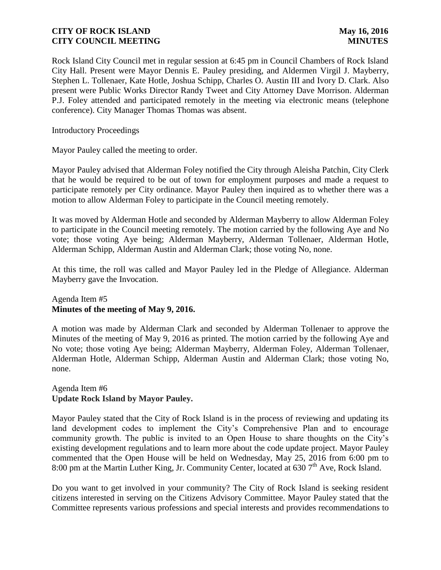Rock Island City Council met in regular session at 6:45 pm in Council Chambers of Rock Island City Hall. Present were Mayor Dennis E. Pauley presiding, and Aldermen Virgil J. Mayberry, Stephen L. Tollenaer, Kate Hotle, Joshua Schipp, Charles O. Austin III and Ivory D. Clark. Also present were Public Works Director Randy Tweet and City Attorney Dave Morrison. Alderman P.J. Foley attended and participated remotely in the meeting via electronic means (telephone conference). City Manager Thomas Thomas was absent.

Introductory Proceedings

Mayor Pauley called the meeting to order.

Mayor Pauley advised that Alderman Foley notified the City through Aleisha Patchin, City Clerk that he would be required to be out of town for employment purposes and made a request to participate remotely per City ordinance. Mayor Pauley then inquired as to whether there was a motion to allow Alderman Foley to participate in the Council meeting remotely.

It was moved by Alderman Hotle and seconded by Alderman Mayberry to allow Alderman Foley to participate in the Council meeting remotely. The motion carried by the following Aye and No vote; those voting Aye being; Alderman Mayberry, Alderman Tollenaer, Alderman Hotle, Alderman Schipp, Alderman Austin and Alderman Clark; those voting No, none.

At this time, the roll was called and Mayor Pauley led in the Pledge of Allegiance. Alderman Mayberry gave the Invocation.

# Agenda Item #5 **Minutes of the meeting of May 9, 2016.**

A motion was made by Alderman Clark and seconded by Alderman Tollenaer to approve the Minutes of the meeting of May 9, 2016 as printed. The motion carried by the following Aye and No vote; those voting Aye being; Alderman Mayberry, Alderman Foley, Alderman Tollenaer, Alderman Hotle, Alderman Schipp, Alderman Austin and Alderman Clark; those voting No, none.

# Agenda Item #6 **Update Rock Island by Mayor Pauley.**

Mayor Pauley stated that the City of Rock Island is in the process of reviewing and updating its land development codes to implement the City's Comprehensive Plan and to encourage community growth. The public is invited to an Open House to share thoughts on the City's existing development regulations and to learn more about the code update project. Mayor Pauley commented that the Open House will be held on Wednesday, May 25, 2016 from 6:00 pm to 8:00 pm at the Martin Luther King, Jr. Community Center, located at 630 7<sup>th</sup> Ave, Rock Island.

Do you want to get involved in your community? The City of Rock Island is seeking resident citizens interested in serving on the Citizens Advisory Committee. Mayor Pauley stated that the Committee represents various professions and special interests and provides recommendations to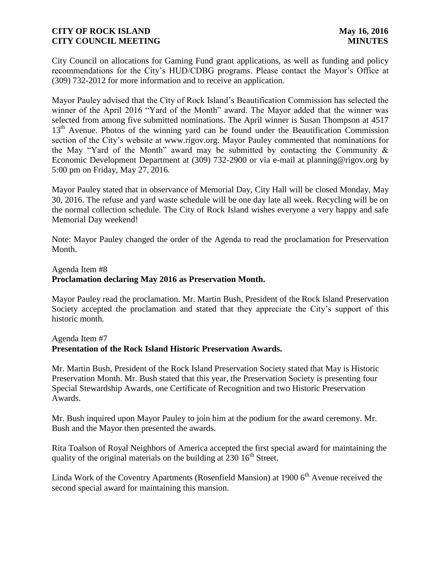City Council on allocations for Gaming Fund grant applications, as well as funding and policy recommendations for the City's HUD/CDBG programs. Please contact the Mayor's Office at (309) 732-2012 for more information and to receive an application.

Mayor Pauley advised that the City of Rock Island's Beautification Commission has selected the winner of the April 2016 "Yard of the Month" award. The Mayor added that the winner was selected from among five submitted nominations. The April winner is Susan Thompson at 4517 13<sup>th</sup> Avenue. Photos of the winning yard can be found under the Beautification Commission section of the City's website at www.rigov.org. Mayor Pauley commented that nominations for the May "Yard of the Month" award may be submitted by contacting the Community  $\&$ Economic Development Department at (309) 732-2900 or via e-mail at planning@rigov.org by 5:00 pm on Friday, May 27, 2016.

Mayor Pauley stated that in observance of Memorial Day, City Hall will be closed Monday, May 30, 2016. The refuse and yard waste schedule will be one day late all week. Recycling will be on the normal collection schedule. The City of Rock Island wishes everyone a very happy and safe Memorial Day weekend!

Note: Mayor Pauley changed the order of the Agenda to read the proclamation for Preservation Month.

# Agenda Item #8 **Proclamation declaring May 2016 as Preservation Month.**

Mayor Pauley read the proclamation. Mr. Martin Bush, President of the Rock Island Preservation Society accepted the proclamation and stated that they appreciate the City's support of this historic month.

# Agenda Item #7 **Presentation of the Rock Island Historic Preservation Awards.**

Mr. Martin Bush, President of the Rock Island Preservation Society stated that May is Historic Preservation Month. Mr. Bush stated that this year, the Preservation Society is presenting four Special Stewardship Awards, one Certificate of Recognition and two Historic Preservation Awards.

Mr. Bush inquired upon Mayor Pauley to join him at the podium for the award ceremony. Mr. Bush and the Mayor then presented the awards.

Rita Toalson of Royal Neighbors of America accepted the first special award for maintaining the quality of the original materials on the building at  $230 \times 16^{th}$  Street.

Linda Work of the Coventry Apartments (Rosenfield Mansion) at  $1900\,6<sup>th</sup>$  Avenue received the second special award for maintaining this mansion.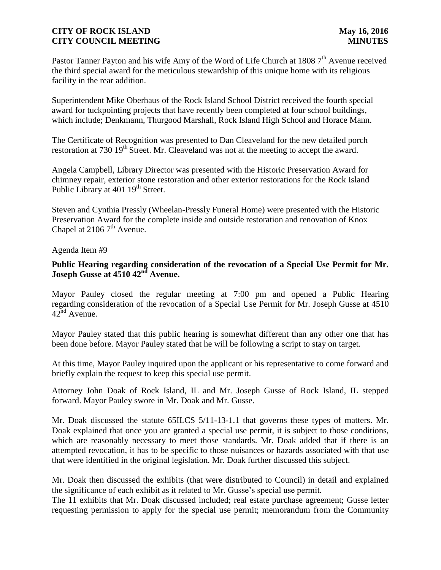Pastor Tanner Payton and his wife Amy of the Word of Life Church at 1808 7<sup>th</sup> Avenue received the third special award for the meticulous stewardship of this unique home with its religious facility in the rear addition.

Superintendent Mike Oberhaus of the Rock Island School District received the fourth special award for tuckpointing projects that have recently been completed at four school buildings, which include; Denkmann, Thurgood Marshall, Rock Island High School and Horace Mann.

The Certificate of Recognition was presented to Dan Cleaveland for the new detailed porch restoration at 730 19<sup>th</sup> Street. Mr. Cleaveland was not at the meeting to accept the award.

Angela Campbell, Library Director was presented with the Historic Preservation Award for chimney repair, exterior stone restoration and other exterior restorations for the Rock Island Public Library at 401 19<sup>th</sup> Street.

Steven and Cynthia Pressly (Wheelan-Pressly Funeral Home) were presented with the Historic Preservation Award for the complete inside and outside restoration and renovation of Knox Chapel at  $21067<sup>th</sup>$  Avenue.

Agenda Item #9

# **Public Hearing regarding consideration of the revocation of a Special Use Permit for Mr. Joseph Gusse at 4510 42nd Avenue.**

Mayor Pauley closed the regular meeting at 7:00 pm and opened a Public Hearing regarding consideration of the revocation of a Special Use Permit for Mr. Joseph Gusse at 4510  $42^{\text{nd}}$  Avenue.

Mayor Pauley stated that this public hearing is somewhat different than any other one that has been done before. Mayor Pauley stated that he will be following a script to stay on target.

At this time, Mayor Pauley inquired upon the applicant or his representative to come forward and briefly explain the request to keep this special use permit.

Attorney John Doak of Rock Island, IL and Mr. Joseph Gusse of Rock Island, IL stepped forward. Mayor Pauley swore in Mr. Doak and Mr. Gusse.

Mr. Doak discussed the statute 65ILCS 5/11-13-1.1 that governs these types of matters. Mr. Doak explained that once you are granted a special use permit, it is subject to those conditions, which are reasonably necessary to meet those standards. Mr. Doak added that if there is an attempted revocation, it has to be specific to those nuisances or hazards associated with that use that were identified in the original legislation. Mr. Doak further discussed this subject.

Mr. Doak then discussed the exhibits (that were distributed to Council) in detail and explained the significance of each exhibit as it related to Mr. Gusse's special use permit.

The 11 exhibits that Mr. Doak discussed included; real estate purchase agreement; Gusse letter requesting permission to apply for the special use permit; memorandum from the Community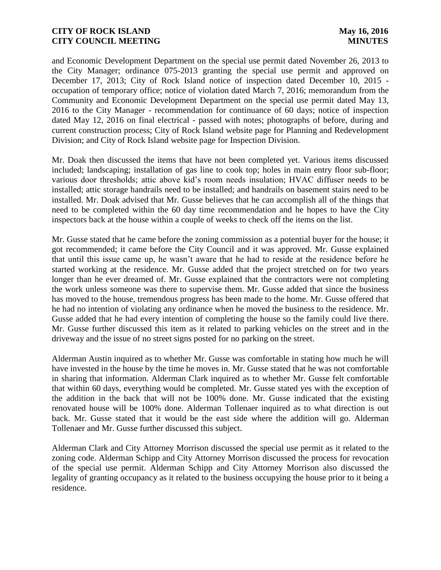and Economic Development Department on the special use permit dated November 26, 2013 to the City Manager; ordinance 075-2013 granting the special use permit and approved on December 17, 2013; City of Rock Island notice of inspection dated December 10, 2015 occupation of temporary office; notice of violation dated March 7, 2016; memorandum from the Community and Economic Development Department on the special use permit dated May 13, 2016 to the City Manager - recommendation for continuance of 60 days; notice of inspection dated May 12, 2016 on final electrical - passed with notes; photographs of before, during and current construction process; City of Rock Island website page for Planning and Redevelopment Division; and City of Rock Island website page for Inspection Division.

Mr. Doak then discussed the items that have not been completed yet. Various items discussed included; landscaping; installation of gas line to cook top; holes in main entry floor sub-floor; various door thresholds; attic above kid's room needs insulation; HVAC diffuser needs to be installed; attic storage handrails need to be installed; and handrails on basement stairs need to be installed. Mr. Doak advised that Mr. Gusse believes that he can accomplish all of the things that need to be completed within the 60 day time recommendation and he hopes to have the City inspectors back at the house within a couple of weeks to check off the items on the list.

Mr. Gusse stated that he came before the zoning commission as a potential buyer for the house; it got recommended; it came before the City Council and it was approved. Mr. Gusse explained that until this issue came up, he wasn't aware that he had to reside at the residence before he started working at the residence. Mr. Gusse added that the project stretched on for two years longer than he ever dreamed of. Mr. Gusse explained that the contractors were not completing the work unless someone was there to supervise them. Mr. Gusse added that since the business has moved to the house, tremendous progress has been made to the home. Mr. Gusse offered that he had no intention of violating any ordinance when he moved the business to the residence. Mr. Gusse added that he had every intention of completing the house so the family could live there. Mr. Gusse further discussed this item as it related to parking vehicles on the street and in the driveway and the issue of no street signs posted for no parking on the street.

Alderman Austin inquired as to whether Mr. Gusse was comfortable in stating how much he will have invested in the house by the time he moves in. Mr. Gusse stated that he was not comfortable in sharing that information. Alderman Clark inquired as to whether Mr. Gusse felt comfortable that within 60 days, everything would be completed. Mr. Gusse stated yes with the exception of the addition in the back that will not be 100% done. Mr. Gusse indicated that the existing renovated house will be 100% done. Alderman Tollenaer inquired as to what direction is out back. Mr. Gusse stated that it would be the east side where the addition will go. Alderman Tollenaer and Mr. Gusse further discussed this subject.

Alderman Clark and City Attorney Morrison discussed the special use permit as it related to the zoning code. Alderman Schipp and City Attorney Morrison discussed the process for revocation of the special use permit. Alderman Schipp and City Attorney Morrison also discussed the legality of granting occupancy as it related to the business occupying the house prior to it being a residence.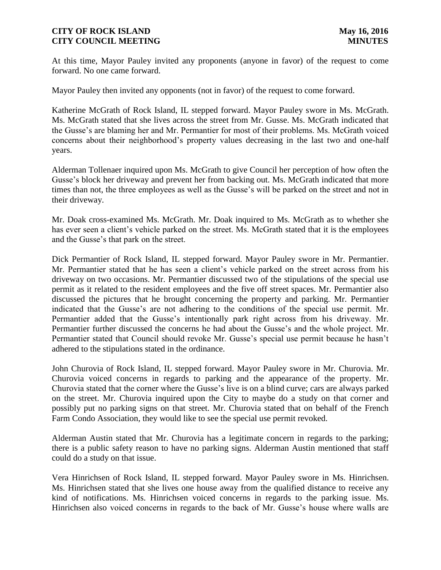At this time, Mayor Pauley invited any proponents (anyone in favor) of the request to come forward. No one came forward.

Mayor Pauley then invited any opponents (not in favor) of the request to come forward.

Katherine McGrath of Rock Island, IL stepped forward. Mayor Pauley swore in Ms. McGrath. Ms. McGrath stated that she lives across the street from Mr. Gusse. Ms. McGrath indicated that the Gusse's are blaming her and Mr. Permantier for most of their problems. Ms. McGrath voiced concerns about their neighborhood's property values decreasing in the last two and one-half years.

Alderman Tollenaer inquired upon Ms. McGrath to give Council her perception of how often the Gusse's block her driveway and prevent her from backing out. Ms. McGrath indicated that more times than not, the three employees as well as the Gusse's will be parked on the street and not in their driveway.

Mr. Doak cross-examined Ms. McGrath. Mr. Doak inquired to Ms. McGrath as to whether she has ever seen a client's vehicle parked on the street. Ms. McGrath stated that it is the employees and the Gusse's that park on the street.

Dick Permantier of Rock Island, IL stepped forward. Mayor Pauley swore in Mr. Permantier. Mr. Permantier stated that he has seen a client's vehicle parked on the street across from his driveway on two occasions. Mr. Permantier discussed two of the stipulations of the special use permit as it related to the resident employees and the five off street spaces. Mr. Permantier also discussed the pictures that he brought concerning the property and parking. Mr. Permantier indicated that the Gusse's are not adhering to the conditions of the special use permit. Mr. Permantier added that the Gusse's intentionally park right across from his driveway. Mr. Permantier further discussed the concerns he had about the Gusse's and the whole project. Mr. Permantier stated that Council should revoke Mr. Gusse's special use permit because he hasn't adhered to the stipulations stated in the ordinance.

John Churovia of Rock Island, IL stepped forward. Mayor Pauley swore in Mr. Churovia. Mr. Churovia voiced concerns in regards to parking and the appearance of the property. Mr. Churovia stated that the corner where the Gusse's live is on a blind curve; cars are always parked on the street. Mr. Churovia inquired upon the City to maybe do a study on that corner and possibly put no parking signs on that street. Mr. Churovia stated that on behalf of the French Farm Condo Association, they would like to see the special use permit revoked.

Alderman Austin stated that Mr. Churovia has a legitimate concern in regards to the parking; there is a public safety reason to have no parking signs. Alderman Austin mentioned that staff could do a study on that issue.

Vera Hinrichsen of Rock Island, IL stepped forward. Mayor Pauley swore in Ms. Hinrichsen. Ms. Hinrichsen stated that she lives one house away from the qualified distance to receive any kind of notifications. Ms. Hinrichsen voiced concerns in regards to the parking issue. Ms. Hinrichsen also voiced concerns in regards to the back of Mr. Gusse's house where walls are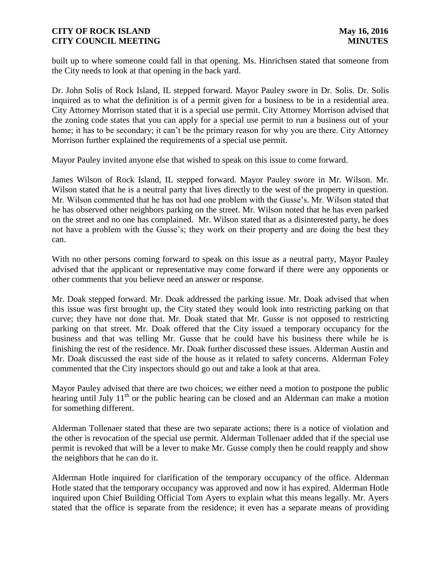built up to where someone could fall in that opening. Ms. Hinrichsen stated that someone from the City needs to look at that opening in the back yard.

Dr. John Solis of Rock Island, IL stepped forward. Mayor Pauley swore in Dr. Solis. Dr. Solis inquired as to what the definition is of a permit given for a business to be in a residential area. City Attorney Morrison stated that it is a special use permit. City Attorney Morrison advised that the zoning code states that you can apply for a special use permit to run a business out of your home; it has to be secondary; it can't be the primary reason for why you are there. City Attorney Morrison further explained the requirements of a special use permit.

Mayor Pauley invited anyone else that wished to speak on this issue to come forward.

James Wilson of Rock Island, IL stepped forward. Mayor Pauley swore in Mr. Wilson. Mr. Wilson stated that he is a neutral party that lives directly to the west of the property in question. Mr. Wilson commented that he has not had one problem with the Gusse's. Mr. Wilson stated that he has observed other neighbors parking on the street. Mr. Wilson noted that he has even parked on the street and no one has complained. Mr. Wilson stated that as a disinterested party, he does not have a problem with the Gusse's; they work on their property and are doing the best they can.

With no other persons coming forward to speak on this issue as a neutral party, Mayor Pauley advised that the applicant or representative may come forward if there were any opponents or other comments that you believe need an answer or response.

Mr. Doak stepped forward. Mr. Doak addressed the parking issue. Mr. Doak advised that when this issue was first brought up, the City stated they would look into restricting parking on that curve; they have not done that. Mr. Doak stated that Mr. Gusse is not opposed to restricting parking on that street. Mr. Doak offered that the City issued a temporary occupancy for the business and that was telling Mr. Gusse that he could have his business there while he is finishing the rest of the residence. Mr. Doak further discussed these issues. Alderman Austin and Mr. Doak discussed the east side of the house as it related to safety concerns. Alderman Foley commented that the City inspectors should go out and take a look at that area.

Mayor Pauley advised that there are two choices; we either need a motion to postpone the public hearing until July  $11<sup>th</sup>$  or the public hearing can be closed and an Alderman can make a motion for something different.

Alderman Tollenaer stated that these are two separate actions; there is a notice of violation and the other is revocation of the special use permit. Alderman Tollenaer added that if the special use permit is revoked that will be a lever to make Mr. Gusse comply then he could reapply and show the neighbors that he can do it.

Alderman Hotle inquired for clarification of the temporary occupancy of the office. Alderman Hotle stated that the temporary occupancy was approved and now it has expired. Alderman Hotle inquired upon Chief Building Official Tom Ayers to explain what this means legally. Mr. Ayers stated that the office is separate from the residence; it even has a separate means of providing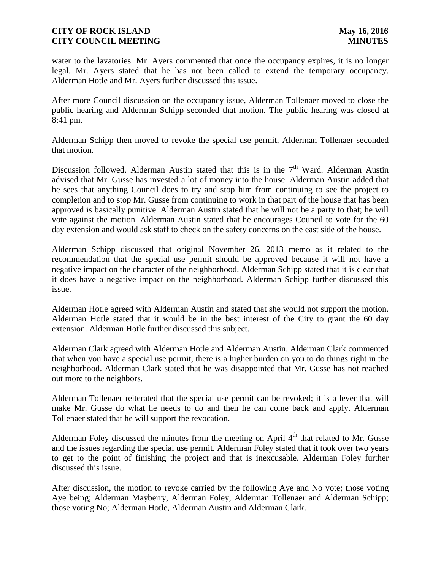water to the lavatories. Mr. Ayers commented that once the occupancy expires, it is no longer legal. Mr. Ayers stated that he has not been called to extend the temporary occupancy. Alderman Hotle and Mr. Ayers further discussed this issue.

After more Council discussion on the occupancy issue, Alderman Tollenaer moved to close the public hearing and Alderman Schipp seconded that motion. The public hearing was closed at 8:41 pm.

Alderman Schipp then moved to revoke the special use permit, Alderman Tollenaer seconded that motion.

Discussion followed. Alderman Austin stated that this is in the  $7<sup>th</sup>$  Ward. Alderman Austin advised that Mr. Gusse has invested a lot of money into the house. Alderman Austin added that he sees that anything Council does to try and stop him from continuing to see the project to completion and to stop Mr. Gusse from continuing to work in that part of the house that has been approved is basically punitive. Alderman Austin stated that he will not be a party to that; he will vote against the motion. Alderman Austin stated that he encourages Council to vote for the 60 day extension and would ask staff to check on the safety concerns on the east side of the house.

Alderman Schipp discussed that original November 26, 2013 memo as it related to the recommendation that the special use permit should be approved because it will not have a negative impact on the character of the neighborhood. Alderman Schipp stated that it is clear that it does have a negative impact on the neighborhood. Alderman Schipp further discussed this issue.

Alderman Hotle agreed with Alderman Austin and stated that she would not support the motion. Alderman Hotle stated that it would be in the best interest of the City to grant the 60 day extension. Alderman Hotle further discussed this subject.

Alderman Clark agreed with Alderman Hotle and Alderman Austin. Alderman Clark commented that when you have a special use permit, there is a higher burden on you to do things right in the neighborhood. Alderman Clark stated that he was disappointed that Mr. Gusse has not reached out more to the neighbors.

Alderman Tollenaer reiterated that the special use permit can be revoked; it is a lever that will make Mr. Gusse do what he needs to do and then he can come back and apply. Alderman Tollenaer stated that he will support the revocation.

Alderman Foley discussed the minutes from the meeting on April  $4<sup>th</sup>$  that related to Mr. Gusse and the issues regarding the special use permit. Alderman Foley stated that it took over two years to get to the point of finishing the project and that is inexcusable. Alderman Foley further discussed this issue.

After discussion, the motion to revoke carried by the following Aye and No vote; those voting Aye being; Alderman Mayberry, Alderman Foley, Alderman Tollenaer and Alderman Schipp; those voting No; Alderman Hotle, Alderman Austin and Alderman Clark.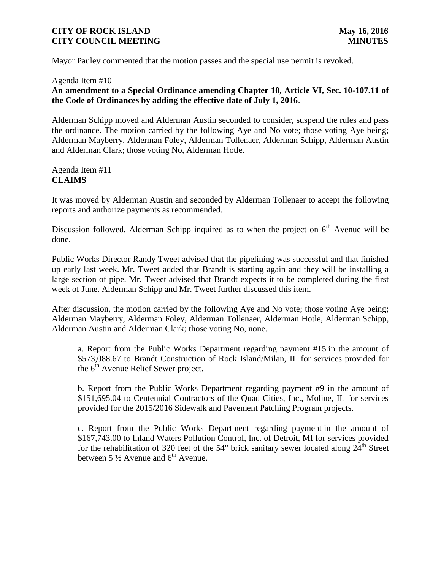Mayor Pauley commented that the motion passes and the special use permit is revoked.

#### Agenda Item #10

# **An amendment to a Special Ordinance amending Chapter 10, Article VI, Sec. 10-107.11 of the Code of Ordinances by adding the effective date of July 1, 2016**.

Alderman Schipp moved and Alderman Austin seconded to consider, suspend the rules and pass the ordinance. The motion carried by the following Aye and No vote; those voting Aye being; Alderman Mayberry, Alderman Foley, Alderman Tollenaer, Alderman Schipp, Alderman Austin and Alderman Clark; those voting No, Alderman Hotle.

#### Agenda Item #11 **CLAIMS**

It was moved by Alderman Austin and seconded by Alderman Tollenaer to accept the following reports and authorize payments as recommended.

Discussion followed. Alderman Schipp inquired as to when the project on  $6<sup>th</sup>$  Avenue will be done.

Public Works Director Randy Tweet advised that the pipelining was successful and that finished up early last week. Mr. Tweet added that Brandt is starting again and they will be installing a large section of pipe. Mr. Tweet advised that Brandt expects it to be completed during the first week of June. Alderman Schipp and Mr. Tweet further discussed this item.

After discussion, the motion carried by the following Aye and No vote; those voting Aye being; Alderman Mayberry, Alderman Foley, Alderman Tollenaer, Alderman Hotle, Alderman Schipp, Alderman Austin and Alderman Clark; those voting No, none.

a. Report from the Public Works Department regarding payment #15 in the amount of \$573,088.67 to Brandt Construction of Rock Island/Milan, IL for services provided for the  $6<sup>th</sup>$  Avenue Relief Sewer project.

b. Report from the Public Works Department regarding payment #9 in the amount of \$151,695.04 to Centennial Contractors of the Quad Cities, Inc., Moline, IL for services provided for the 2015/2016 Sidewalk and Pavement Patching Program projects.

c. Report from the Public Works Department regarding payment in the amount of \$167,743.00 to Inland Waters Pollution Control, Inc. of Detroit, MI for services provided for the rehabilitation of 320 feet of the 54" brick sanitary sewer located along  $24<sup>th</sup>$  Street between 5  $\frac{1}{2}$  Avenue and 6<sup>th</sup> Avenue.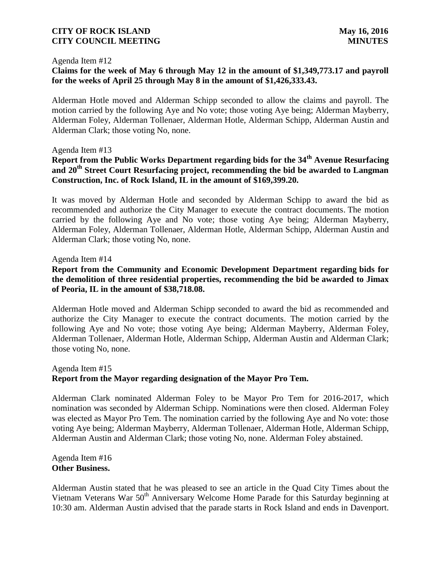#### Agenda Item #12

# **Claims for the week of May 6 through May 12 in the amount of \$1,349,773.17 and payroll for the weeks of April 25 through May 8 in the amount of \$1,426,333.43.**

Alderman Hotle moved and Alderman Schipp seconded to allow the claims and payroll. The motion carried by the following Aye and No vote; those voting Aye being; Alderman Mayberry, Alderman Foley, Alderman Tollenaer, Alderman Hotle, Alderman Schipp, Alderman Austin and Alderman Clark; those voting No, none.

#### Agenda Item #13

# **Report from the Public Works Department regarding bids for the 34th Avenue Resurfacing and 20th Street Court Resurfacing project, recommending the bid be awarded to Langman Construction, Inc. of Rock Island, IL in the amount of \$169,399.20.**

It was moved by Alderman Hotle and seconded by Alderman Schipp to award the bid as recommended and authorize the City Manager to execute the contract documents. The motion carried by the following Aye and No vote; those voting Aye being; Alderman Mayberry, Alderman Foley, Alderman Tollenaer, Alderman Hotle, Alderman Schipp, Alderman Austin and Alderman Clark; those voting No, none.

#### Agenda Item #14

# **Report from the Community and Economic Development Department regarding bids for the demolition of three residential properties, recommending the bid be awarded to Jimax of Peoria, IL in the amount of \$38,718.08.**

Alderman Hotle moved and Alderman Schipp seconded to award the bid as recommended and authorize the City Manager to execute the contract documents. The motion carried by the following Aye and No vote; those voting Aye being; Alderman Mayberry, Alderman Foley, Alderman Tollenaer, Alderman Hotle, Alderman Schipp, Alderman Austin and Alderman Clark; those voting No, none.

#### Agenda Item #15 **Report from the Mayor regarding designation of the Mayor Pro Tem.**

Alderman Clark nominated Alderman Foley to be Mayor Pro Tem for 2016-2017, which nomination was seconded by Alderman Schipp. Nominations were then closed. Alderman Foley was elected as Mayor Pro Tem. The nomination carried by the following Aye and No vote: those voting Aye being; Alderman Mayberry, Alderman Tollenaer, Alderman Hotle, Alderman Schipp, Alderman Austin and Alderman Clark; those voting No, none. Alderman Foley abstained.

Agenda Item #16 **Other Business.**

Alderman Austin stated that he was pleased to see an article in the Quad City Times about the Vietnam Veterans War 50<sup>th</sup> Anniversary Welcome Home Parade for this Saturday beginning at 10:30 am. Alderman Austin advised that the parade starts in Rock Island and ends in Davenport.